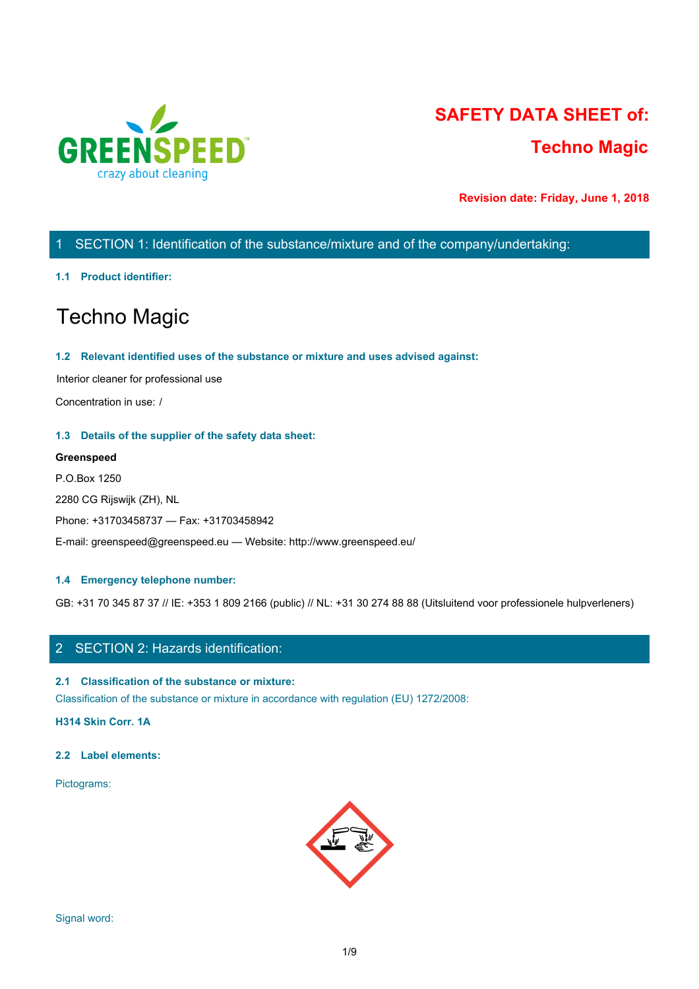

# **SAFETY DATA SHEET of: Techno Magic**

**Revision date: Friday, June 1, 2018**

# 1 SECTION 1: Identification of the substance/mixture and of the company/undertaking:

#### **1.1 Product identifier:**

# Techno Magic

#### **1.2 Relevant identified uses of the substance or mixture and uses advised against:**

Interior cleaner for professional use

Concentration in use: /

#### **1.3 Details of the supplier of the safety data sheet:**

#### **Greenspeed**

P.O.Box 1250 2280 CG Rijswijk (ZH), NL Phone: +31703458737 — Fax: +31703458942 E-mail: greenspeed@greenspeed.eu — Website: http://www.greenspeed.eu/

#### **1.4 Emergency telephone number:**

GB: +31 70 345 87 37 // IE: +353 1 809 2166 (public) // NL: +31 30 274 88 88 (Uitsluitend voor professionele hulpverleners)

# 2 SECTION 2: Hazards identification:

#### **2.1 Classification of the substance or mixture:**

Classification of the substance or mixture in accordance with regulation (EU) 1272/2008:

**H314 Skin Corr. 1A**

#### **2.2 Label elements:**

Pictograms:

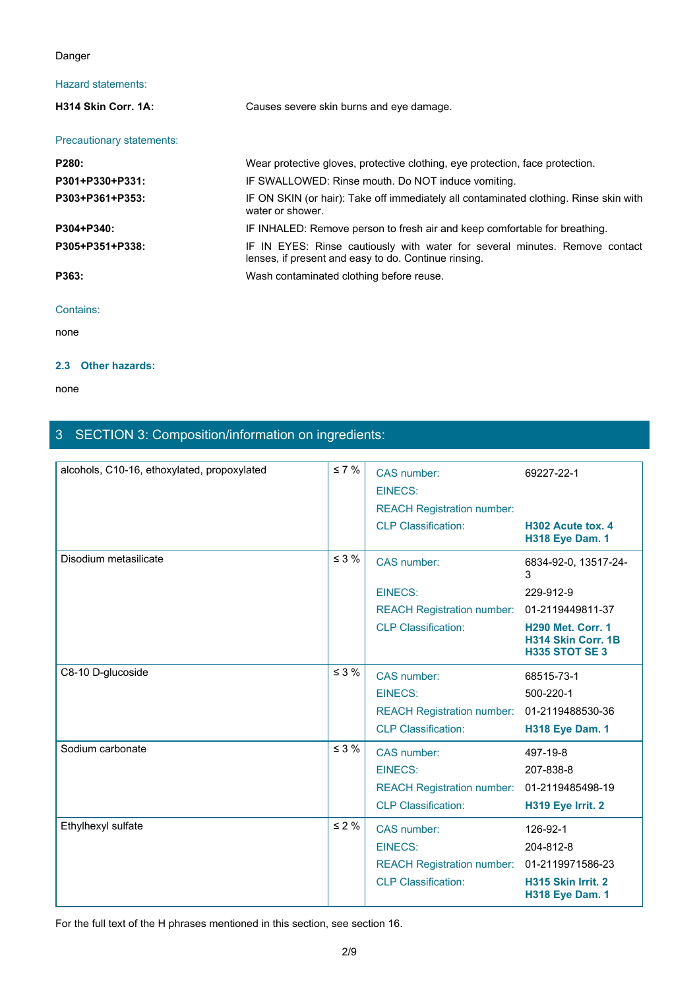### Danger

# Hazard statements:

| Danger                    |                                                                                                                                     |  |
|---------------------------|-------------------------------------------------------------------------------------------------------------------------------------|--|
| Hazard statements:        |                                                                                                                                     |  |
| H314 Skin Corr. 1A:       | Causes severe skin burns and eye damage.                                                                                            |  |
| Precautionary statements: |                                                                                                                                     |  |
| P280:                     | Wear protective gloves, protective clothing, eye protection, face protection.                                                       |  |
| P301+P330+P331:           | IF SWALLOWED: Rinse mouth. Do NOT induce vomiting.                                                                                  |  |
| P303+P361+P353:           | IF ON SKIN (or hair): Take off immediately all contaminated clothing. Rinse skin with<br>water or shower.                           |  |
| P304+P340:                | IF INHALED: Remove person to fresh air and keep comfortable for breathing.                                                          |  |
| P305+P351+P338:           | IF IN EYES: Rinse cautiously with water for several minutes. Remove contact<br>lenses, if present and easy to do. Continue rinsing. |  |
| P363:                     | Wash contaminated clothing before reuse.                                                                                            |  |
| Contains:                 |                                                                                                                                     |  |
| none                      |                                                                                                                                     |  |

#### Contains:

none and the state of the state of the state of the state of the state of the state of the state of the state of the state of the state of the state of the state of the state of the state of the state of the state of the s

#### **2.3 Other hazards:**

none and the state of the state of the state of the state of the state of the state of the state of the state of the state of the state of the state of the state of the state of the state of the state of the state of the s

# 3 SECTION 3: Composition/information on ingredients:

| alcohols, C10-16, ethoxylated, propoxylated | $\leq 7 \%$ | CAS number:<br><b>EINECS:</b>     | 69227-22-1                                                              |
|---------------------------------------------|-------------|-----------------------------------|-------------------------------------------------------------------------|
|                                             |             | <b>REACH Registration number:</b> |                                                                         |
|                                             |             | <b>CLP Classification:</b>        | H302 Acute tox. 4<br><b>H318 Eye Dam. 1</b>                             |
| Disodium metasilicate                       | $\leq 3 \%$ | CAS number:                       | 6834-92-0, 13517-24-<br>3                                               |
|                                             |             | <b>EINECS:</b>                    | 229-912-9                                                               |
|                                             |             | <b>REACH Registration number:</b> | 01-2119449811-37                                                        |
|                                             |             | <b>CLP Classification:</b>        | <b>H290 Met. Corr. 1</b><br>H314 Skin Corr. 1B<br><b>H335 STOT SE 3</b> |
| C8-10 D-glucoside                           | $\leq$ 3 %  | CAS number:                       | 68515-73-1                                                              |
|                                             |             | <b>EINECS:</b>                    | 500-220-1                                                               |
|                                             |             | <b>REACH Registration number:</b> | 01-2119488530-36                                                        |
|                                             |             | <b>CLP Classification:</b>        | <b>H318 Eye Dam. 1</b>                                                  |
| Sodium carbonate                            | $\leq$ 3 %  | CAS number:                       | 497-19-8                                                                |
|                                             |             | <b>EINECS:</b>                    | 207-838-8                                                               |
|                                             |             | <b>REACH Registration number:</b> | 01-2119485498-19                                                        |
|                                             |             | <b>CLP Classification:</b>        | H319 Eye Irrit. 2                                                       |
| Ethylhexyl sulfate                          | $\leq 2\%$  | CAS number:                       | 126-92-1                                                                |
|                                             |             | <b>EINECS:</b>                    | 204-812-8                                                               |
|                                             |             | <b>REACH Registration number:</b> | 01-2119971586-23                                                        |
|                                             |             | <b>CLP Classification:</b>        | H315 Skin Irrit. 2<br><b>H318 Eye Dam. 1</b>                            |
|                                             |             |                                   |                                                                         |

For the full text of the H phrases mentioned in this section, see section 16.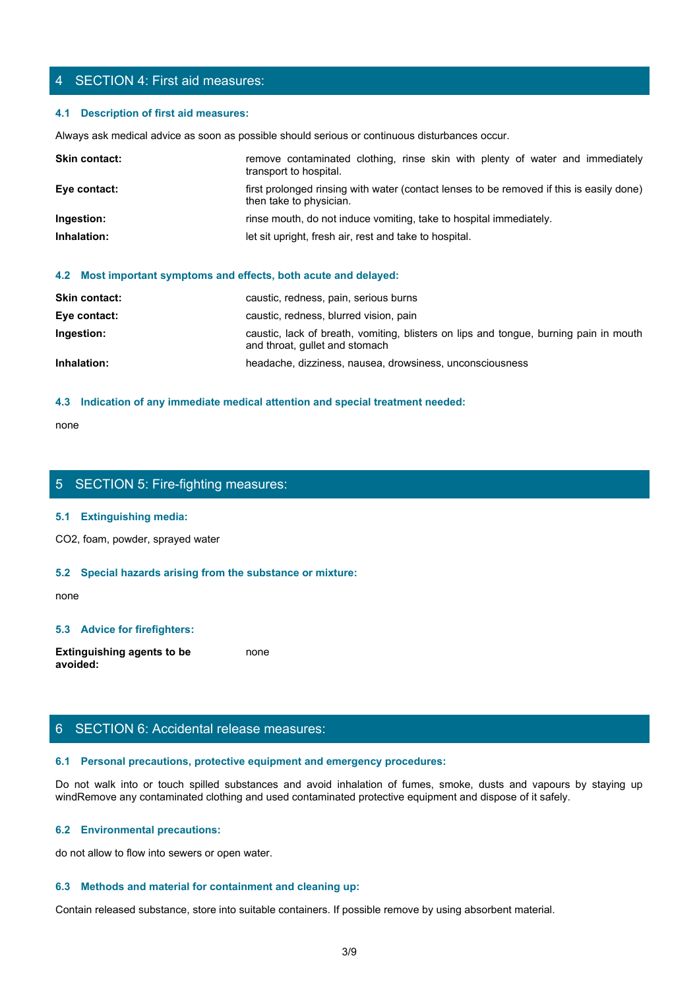### 4 SECTION 4: First aid measures:

#### **4.1 Description of first aid measures:**

| 4 SECTION 4: First aid measures:       |                                                                                                                     |
|----------------------------------------|---------------------------------------------------------------------------------------------------------------------|
| 4.1 Description of first aid measures: |                                                                                                                     |
|                                        | Always ask medical advice as soon as possible should serious or continuous disturbances occur.                      |
| Skin contact:                          | remove contaminated clothing, rinse skin with plenty of water and immediately<br>transport to hospital.             |
| Eye contact:                           | first prolonged rinsing with water (contact lenses to be removed if this is easily done)<br>then take to physician. |
| Ingestion:                             | rinse mouth, do not induce vomiting, take to hospital immediately.                                                  |
| Inhalation:                            | let sit upright, fresh air, rest and take to hospital.                                                              |
|                                        | the company of the company of the company of<br>.                                                                   |

#### **4.2 Most important symptoms and effects, both acute and delayed:**

| <b>Skin contact:</b> | caustic, redness, pain, serious burns                                                                                   |
|----------------------|-------------------------------------------------------------------------------------------------------------------------|
| Eye contact:         | caustic, redness, blurred vision, pain                                                                                  |
| Ingestion:           | caustic, lack of breath, vomiting, blisters on lips and tongue, burning pain in mouth<br>and throat, gullet and stomach |
| Inhalation:          | headache, dizziness, nausea, drowsiness, unconsciousness                                                                |
|                      |                                                                                                                         |

#### **4.3 Indication of any immediate medical attention and special treatment needed:**

none and the state of the state of the state of the state of the state of the state of the state of the state of the state of the state of the state of the state of the state of the state of the state of the state of the s

# 5 SECTION 5: Fire-fighting measures:

#### **5.1 Extinguishing media:**

CO2, foam, powder, sprayed water

#### **5.2 Special hazards arising from the substance or mixture:**

none and the state of the state of the state of the state of the state of the state of the state of the state of the state of the state of the state of the state of the state of the state of the state of the state of the s

#### **5.3 Advice for firefighters:**

**Extinguishing agents to be avoided:** none and the state of the state of the state of the state of the state of the state of the state of the state of the state of the state of the state of the state of the state of the state of the state of the state of the s

# 6 SECTION 6: Accidental release measures:

#### **6.1 Personal precautions, protective equipment and emergency procedures:**

none<br>
S. SECTION 5: Fire-fighting measures:<br>
S. S. Special hazards arising from the substance or mixture:<br>
H. S. Special hazards arising from the substance or mixture:<br>
and avoid in the fumes, spilled substances and avoid windRemove any contaminated clothing and used contaminated protective equipment and dispose of it safely.

#### **6.2 Environmental precautions:**

do not allow to flow into sewers or open water.

#### **6.3 Methods and material for containment and cleaning up:**

Contain released substance, store into suitable containers. If possible remove by using absorbent material.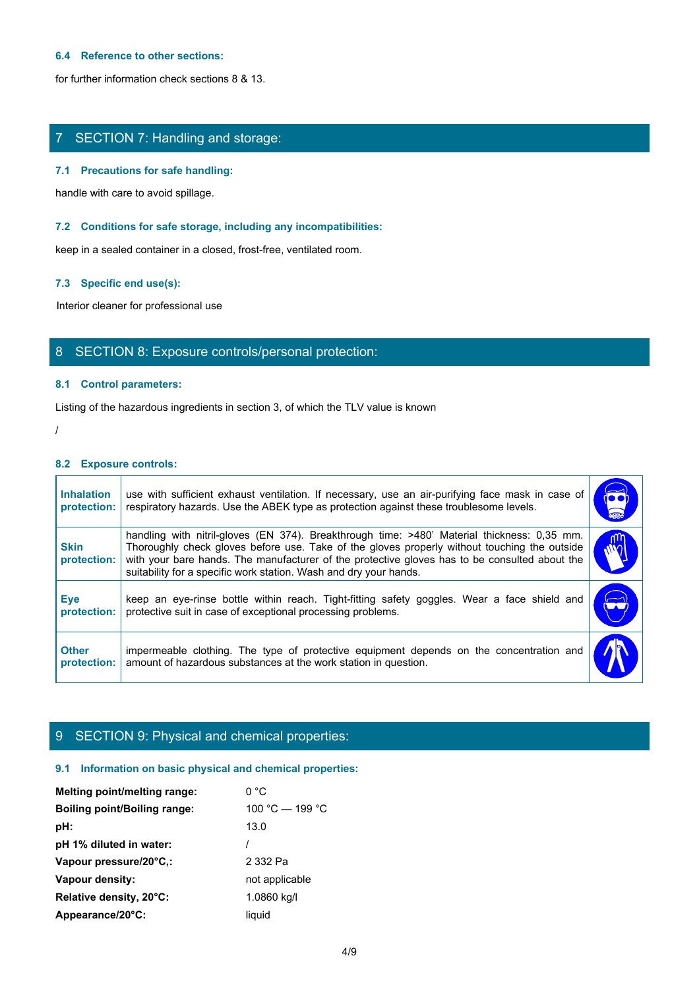#### **6.4 Reference to other sections:**

for further information check sections 8 & 13.

# 7 SECTION 7: Handling and storage:

#### **7.1 Precautions for safe handling:**

#### **7.2 Conditions for safe storage, including any incompatibilities:**

#### **7.3 Specific end use(s):**

# 8 SECTION 8: Exposure controls/personal protection:

#### **8.1 Control parameters:**

#### **8.2 Exposure controls:**

|                                  | SECTION 7: Handling and storage:                                                                                                                                                                                                                                                                                                                                  |                           |
|----------------------------------|-------------------------------------------------------------------------------------------------------------------------------------------------------------------------------------------------------------------------------------------------------------------------------------------------------------------------------------------------------------------|---------------------------|
|                                  | 7.1 Precautions for safe handling:                                                                                                                                                                                                                                                                                                                                |                           |
|                                  | handle with care to avoid spillage.                                                                                                                                                                                                                                                                                                                               |                           |
|                                  | 7.2 Conditions for safe storage, including any incompatibilities:                                                                                                                                                                                                                                                                                                 |                           |
|                                  | keep in a sealed container in a closed, frost-free, ventilated room.                                                                                                                                                                                                                                                                                              |                           |
|                                  | 7.3 Specific end use(s):                                                                                                                                                                                                                                                                                                                                          |                           |
|                                  | Interior cleaner for professional use                                                                                                                                                                                                                                                                                                                             |                           |
|                                  | 8 SECTION 8: Exposure controls/personal protection:                                                                                                                                                                                                                                                                                                               |                           |
|                                  | 8.1 Control parameters:                                                                                                                                                                                                                                                                                                                                           |                           |
|                                  | Listing of the hazardous ingredients in section 3, of which the TLV value is known                                                                                                                                                                                                                                                                                |                           |
|                                  |                                                                                                                                                                                                                                                                                                                                                                   |                           |
| 8.2 Exposure controls:           |                                                                                                                                                                                                                                                                                                                                                                   |                           |
| <b>Inhalation</b><br>protection: | use with sufficient exhaust ventilation. If necessary, use an air-purifying face mask in case of<br>respiratory hazards. Use the ABEK type as protection against these troublesome levels.                                                                                                                                                                        | (OC)                      |
| <b>Skin</b><br>protection:       | handling with nitril-gloves (EN 374). Breakthrough time: >480' Material thickness: 0,35 mm.<br>Thoroughly check gloves before use. Take of the gloves properly without touching the outside<br>with your bare hands. The manufacturer of the protective gloves has to be consulted about the<br>suitability for a specific work station. Wash and dry your hands. | WQ                        |
| <b>Eye</b><br>protection:        | keep an eye-rinse bottle within reach. Tight-fitting safety goggles. Wear a face shield and<br>protective suit in case of exceptional processing problems.                                                                                                                                                                                                        | $\widetilde{\phantom{m}}$ |
| <b>Other</b><br>protection:      | impermeable clothing. The type of protective equipment depends on the concentration and<br>amount of hazardous substances at the work station in question.                                                                                                                                                                                                        |                           |

# 9 SECTION 9: Physical and chemical properties:

#### **9.1 Information on basic physical and chemical properties:**

| Melting point/melting range: | 0 °C            |
|------------------------------|-----------------|
| Boiling point/Boiling range: | 100 °C — 199 °C |
| pH:                          | 13.0            |
| pH 1% diluted in water:      |                 |
| Vapour pressure/20°C.:       | 2 332 Pa        |
| Vapour density:              | not applicable  |
| Relative density, 20°C:      | 1.0860 kg/l     |
| Appearance/20°C:             | liquid          |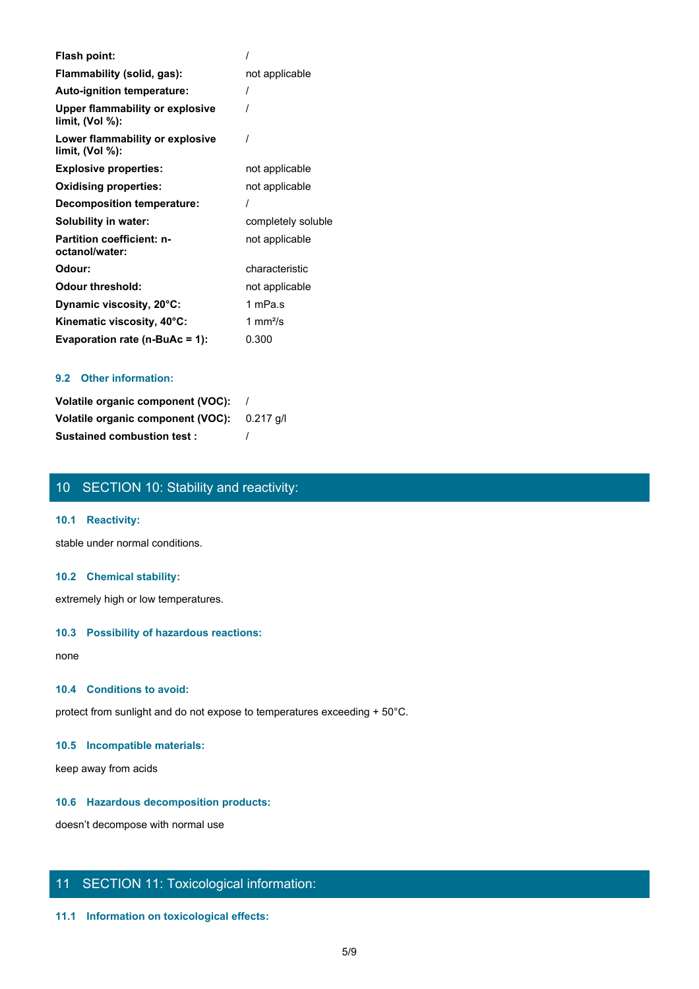| Flash point:                                          |                    |
|-------------------------------------------------------|--------------------|
| Flammability (solid, gas):                            | not applicable     |
| Auto-ignition temperature:                            |                    |
| Upper flammability or explosive<br>limit, $(Vol %)$ : |                    |
| Lower flammability or explosive<br>limit, (Vol %):    |                    |
| <b>Explosive properties:</b>                          | not applicable     |
| <b>Oxidising properties:</b>                          | not applicable     |
| Decomposition temperature:                            |                    |
| Solubility in water:                                  | completely soluble |
| <b>Partition coefficient: n-</b><br>octanol/water:    | not applicable     |
| Odour:                                                | characteristic     |
| <b>Odour threshold:</b>                               | not applicable     |
| Dynamic viscosity, 20°C:                              | 1 mPa.s            |
| Kinematic viscosity, 40°C:                            | 1 mm $\frac{2}{s}$ |
| Evaporation rate (n-BuAc = 1):                        | 0.300              |

## **9.2 Other information:**

| Volatile organic component (VOC):           |  |
|---------------------------------------------|--|
| Volatile organic component (VOC): 0.217 g/l |  |
| <b>Sustained combustion test:</b>           |  |

# 10 SECTION 10: Stability and reactivity:

#### **10.1 Reactivity:**

stable under normal conditions.

#### **10.2 Chemical stability:**

extremely high or low temperatures.

#### **10.3 Possibility of hazardous reactions:**

none and the state of the state of the state of the state of the state of the state of the state of the state of the state of the state of the state of the state of the state of the state of the state of the state of the s

#### **10.4 Conditions to avoid:**

protect from sunlight and do not expose to temperatures exceeding + 50°C.

# **10.5 Incompatible materials:**

keep away from acids

#### **10.6 Hazardous decomposition products:**

doesn't decompose with normal use

# 11 SECTION 11: Toxicological information:

### **11.1 Information on toxicological effects:**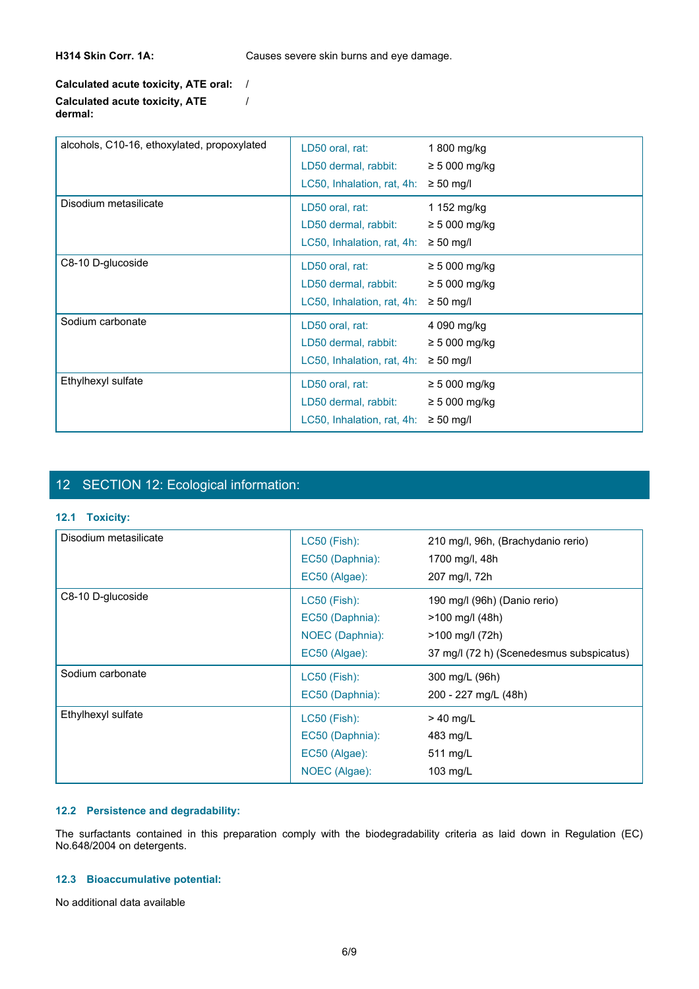H314 Skin Corr. 1A: Causes severe skin burns and eye damage.

/

## **Calculated acute toxicity, ATE oral:** / **Calculated acute toxicity, ATE dermal:**

| alcohols, C10-16, ethoxylated, propoxylated | LD50 oral, rat:            | 1 800 mg/kg        |
|---------------------------------------------|----------------------------|--------------------|
|                                             | LD50 dermal, rabbit:       | $\geq 5000$ mg/kg  |
|                                             | LC50, Inhalation, rat, 4h: | $\geq 50$ mg/l     |
| Disodium metasilicate                       | LD50 oral, rat:            | 1 152 mg/kg        |
|                                             | LD50 dermal, rabbit:       | $\geq$ 5 000 mg/kg |
|                                             | LC50, Inhalation, rat, 4h: | $\geq 50$ mg/l     |
| C8-10 D-glucoside                           | LD50 oral, rat:            | $\geq 5000$ mg/kg  |
|                                             | LD50 dermal, rabbit:       | $\geq$ 5 000 mg/kg |
|                                             | LC50, Inhalation, rat, 4h: | $\geq 50$ mg/l     |
| Sodium carbonate                            | LD50 oral, rat:            | 4 090 mg/kg        |
|                                             | LD50 dermal, rabbit:       | $\geq$ 5 000 mg/kg |
|                                             | LC50, Inhalation, rat, 4h: | $\geq 50$ mg/l     |
| Ethylhexyl sulfate                          | LD50 oral, rat:            | $\geq 5000$ mg/kg  |
|                                             | LD50 dermal, rabbit:       | $\geq$ 5 000 mg/kg |
|                                             | LC50, Inhalation, rat, 4h: | $\geq 50$ mg/l     |

# 12 SECTION 12: Ecological information:

#### **12.1 Toxicity:**

| 12 SECTION 12: Ecological information:                            |                                                                     |                                                                                                                         |
|-------------------------------------------------------------------|---------------------------------------------------------------------|-------------------------------------------------------------------------------------------------------------------------|
| 12.1 Toxicity:                                                    |                                                                     |                                                                                                                         |
| Disodium metasilicate                                             | LC50 (Fish):<br>EC50 (Daphnia):<br>EC50 (Algae):                    | 210 mg/l, 96h, (Brachydanio rerio)<br>1700 mg/l, 48h<br>207 mg/l, 72h                                                   |
| C8-10 D-glucoside                                                 | LC50 (Fish):<br>EC50 (Daphnia):<br>NOEC (Daphnia):<br>EC50 (Algae): | 190 mg/l (96h) (Danio rerio)<br>>100 mg/l (48h)<br>>100 mg/l (72h)<br>37 mg/l (72 h) (Scenedesmus subspicatus)          |
| Sodium carbonate                                                  | LC50 (Fish):<br>EC50 (Daphnia):                                     | 300 mg/L (96h)<br>200 - 227 mg/L (48h)                                                                                  |
| Ethylhexyl sulfate                                                | LC50 (Fish):<br>EC50 (Daphnia):<br>EC50 (Algae):<br>NOEC (Algae):   | $> 40$ mg/L<br>483 mg/L<br>511 mg/L<br>103 mg/L                                                                         |
| 12.2 Persistence and degradability:<br>No.648/2004 on detergents. |                                                                     | The surfactants contained in this preparation comply with the biodegradability criteria as laid down in Regulation (EC) |
| 12.3 Bioaccumulative potential:                                   |                                                                     |                                                                                                                         |
| No additional data available                                      |                                                                     |                                                                                                                         |

#### **12.2 Persistence and degradability:**

# **12.3 Bioaccumulative potential:**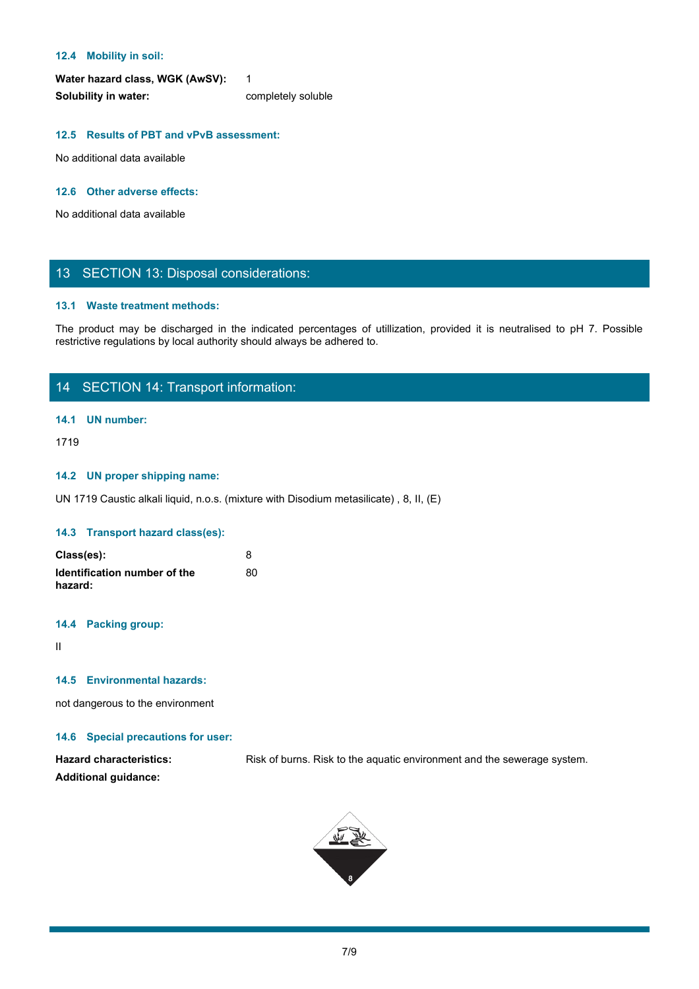#### **12.4 Mobility in soil:**

Water hazard class, WGK (AwSV): 1 **Solubility in water:** completely soluble

#### **12.5 Results of PBT and vPvB assessment:**

No additional data available

#### **12.6 Other adverse effects:**

No additional data available

# 13 SECTION 13: Disposal considerations:

#### **13.1 Waste treatment methods:**

The Mobility in soil:<br>
Water hazard class, WGK (AwSV):<br>
Solubility in water:<br>
No additional data available<br>
No additional data available<br>
The product may be discharged in the indicated percentages of utilization, provided restrictive regulations by local authority should always be adhered to.

# 14 SECTION 14: Transport information:

#### **14.1 UN number:**

1719

#### **14.2 UN proper shipping name:**

UN 1719 Caustic alkali liquid, n.o.s. (mixture with Disodium metasilicate) , 8, II, (E)

#### **14.3 Transport hazard class(es):**

| Class(es):                              |    |
|-----------------------------------------|----|
| Identification number of the<br>hazard: | 80 |

#### **14.4 Packing group:**

II and the state of the state of the state of the state of the state of the state of the state of the state of

#### **14.5 Environmental hazards:**

not dangerous to the environment

#### **14.6 Special precautions for user:**

Hazard characteristics: Risk of burns. Risk to the aquatic environment and the sewerage system. **Additional guidance:**

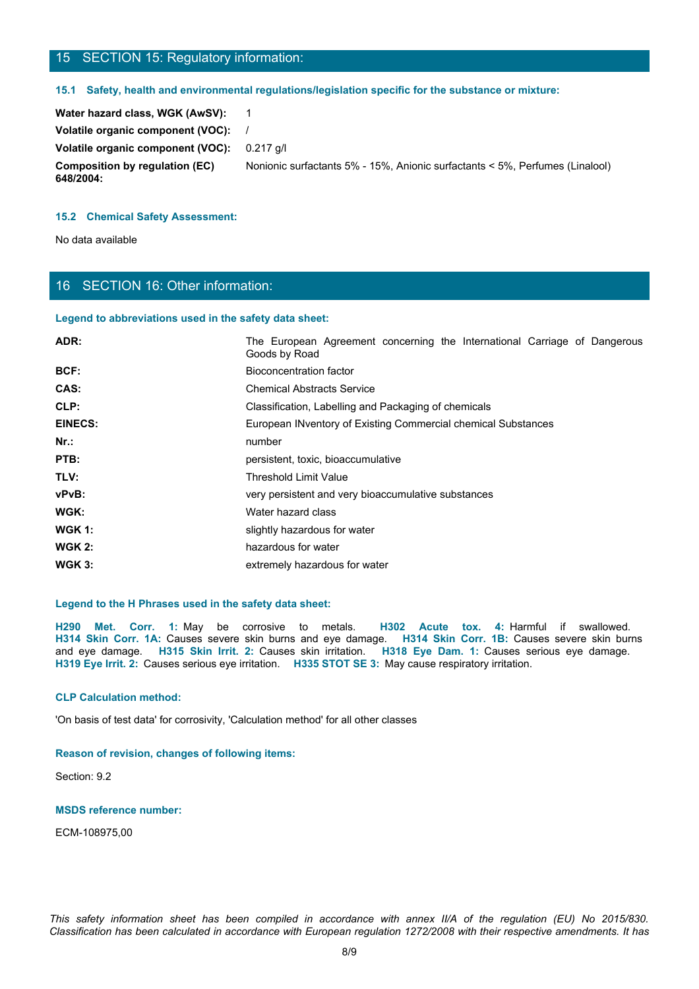# 15 SECTION 15: Regulatory information:

#### **15.1 Safety, health and environmental regulations/legislation specific for the substance or mixture:**

| Water hazard class, WGK (AwSV):             |                                                                              |
|---------------------------------------------|------------------------------------------------------------------------------|
| Volatile organic component (VOC):           |                                                                              |
| Volatile organic component (VOC):           | 0.217 a/l                                                                    |
| Composition by regulation (EC)<br>648/2004: | Nonionic surfactants 5% - 15%, Anionic surfactants < 5%, Perfumes (Linalool) |

#### **15.2 Chemical Safety Assessment:**

# 16 SECTION 16: Other information:

#### **Legend to abbreviations used in the safety data sheet:**

| 15 SECTION 15: Regulatory information:                                              |                                                                                                                                                                                                                                                                                                                                                                                                                        |
|-------------------------------------------------------------------------------------|------------------------------------------------------------------------------------------------------------------------------------------------------------------------------------------------------------------------------------------------------------------------------------------------------------------------------------------------------------------------------------------------------------------------|
|                                                                                     | 15.1 Safety, health and environmental regulations/legislation specific for the substance or mixture:                                                                                                                                                                                                                                                                                                                   |
| Water hazard class, WGK (AwSV):                                                     | $\mathbf{1}$                                                                                                                                                                                                                                                                                                                                                                                                           |
| Volatile organic component (VOC):                                                   |                                                                                                                                                                                                                                                                                                                                                                                                                        |
| Volatile organic component (VOC):                                                   | 0.217 g/l                                                                                                                                                                                                                                                                                                                                                                                                              |
| <b>Composition by regulation (EC)</b><br>648/2004:                                  | Nonionic surfactants 5% - 15%, Anionic surfactants < 5%, Perfumes (Linalool)                                                                                                                                                                                                                                                                                                                                           |
| <b>15.2 Chemical Safety Assessment:</b>                                             |                                                                                                                                                                                                                                                                                                                                                                                                                        |
| No data available                                                                   |                                                                                                                                                                                                                                                                                                                                                                                                                        |
|                                                                                     |                                                                                                                                                                                                                                                                                                                                                                                                                        |
|                                                                                     |                                                                                                                                                                                                                                                                                                                                                                                                                        |
| 16 SECTION 16: Other information:                                                   |                                                                                                                                                                                                                                                                                                                                                                                                                        |
| Legend to abbreviations used in the safety data sheet:                              |                                                                                                                                                                                                                                                                                                                                                                                                                        |
| ADR:                                                                                | The European Agreement concerning the International Carriage of Dangerous<br>Goods by Road                                                                                                                                                                                                                                                                                                                             |
| BCF:                                                                                | <b>Bioconcentration factor</b>                                                                                                                                                                                                                                                                                                                                                                                         |
| CAS:                                                                                | <b>Chemical Abstracts Service</b>                                                                                                                                                                                                                                                                                                                                                                                      |
| CLP:                                                                                | Classification, Labelling and Packaging of chemicals                                                                                                                                                                                                                                                                                                                                                                   |
| <b>EINECS:</b>                                                                      | European INventory of Existing Commercial chemical Substances                                                                                                                                                                                                                                                                                                                                                          |
| $Nr.$ :                                                                             | number                                                                                                                                                                                                                                                                                                                                                                                                                 |
| PTB:                                                                                | persistent, toxic, bioaccumulative                                                                                                                                                                                                                                                                                                                                                                                     |
| TLV:                                                                                | <b>Threshold Limit Value</b>                                                                                                                                                                                                                                                                                                                                                                                           |
| vPvB:                                                                               | very persistent and very bioaccumulative substances                                                                                                                                                                                                                                                                                                                                                                    |
| WGK:                                                                                | Water hazard class                                                                                                                                                                                                                                                                                                                                                                                                     |
| <b>WGK 1:</b>                                                                       | slightly hazardous for water                                                                                                                                                                                                                                                                                                                                                                                           |
| <b>WGK 2:</b>                                                                       | hazardous for water                                                                                                                                                                                                                                                                                                                                                                                                    |
| <b>WGK 3:</b>                                                                       | extremely hazardous for water                                                                                                                                                                                                                                                                                                                                                                                          |
| Legend to the H Phrases used in the safety data sheet:                              |                                                                                                                                                                                                                                                                                                                                                                                                                        |
|                                                                                     | H290 Met. Corr. 1: May be corrosive to metals. H302 Acute tox. 4: Harmful if swallowed.<br>H314 Skin Corr. 1A: Causes severe skin burns and eye damage. H314 Skin Corr. 1B: Causes severe skin burns<br>and eye damage. H315 Skin Irrit. 2: Causes skin irritation. H318 Eye Dam. 1: Causes serious eye damage.<br>H319 Eye Irrit. 2: Causes serious eye irritation. H335 STOT SE 3: May cause respiratory irritation. |
| <b>CLP Calculation method:</b>                                                      |                                                                                                                                                                                                                                                                                                                                                                                                                        |
| 'On basis of test data' for corrosivity, 'Calculation method' for all other classes |                                                                                                                                                                                                                                                                                                                                                                                                                        |

#### **Legend to the H Phrases used in the safety data sheet:**

**H319 Eye Irrit. 2:** Causes serious eye irritation. **H335 STOT SE 3:** May cause respiratory irritation. **This safety information sheet has been compiled in accordance with annex II/A of the regulation field in accordance information sheet has been compiled in accordance. H314 Skin Corr. 18: Causes severe skin burns and eye d** 

#### **CLP Calculation method:**

#### **Reason of revision, changes of following items:**

Section: 9.2

#### **MSDS reference number:**

ECM-108975,00

*Classification has been calculated in accordance with European regulation 1272/2008 with their respective amendments. It has*